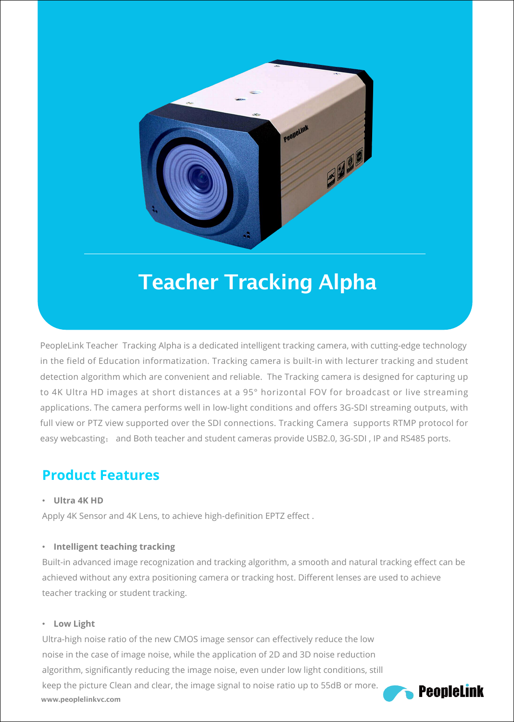

## Teacher Tracking Alpha

PeopleLink Teacher Tracking Alpha is a dedicated intelligent tracking camera, with cutting-edge technology in the field of Education informatization. Tracking camera is built-in with lecturer tracking and student detection algorithm which are convenient and reliable. The Tracking camera is designed for capturing up to 4K Ultra HD images at short distances at a 95° horizontal FOV for broadcast or live streaming applications. The camera performs well in low-light conditions and offers 3G-SDI streaming outputs, with full view or PTZ view supported over the SDI connections. Tracking Camera supports RTMP protocol for easy webcasting; and Both teacher and student cameras provide USB2.0, 3G-SDI , IP and RS485 ports.

## **Product Features**

#### • **Ultra 4K HD**

Apply 4K Sensor and 4K Lens, to achieve high-definition EPTZ effect .

#### • **Intelligent teaching tracking**

Built-in advanced image recognization and tracking algorithm, a smooth and natural tracking effect can be achieved without any extra positioning camera or tracking host. Different lenses are used to achieve teacher tracking or student tracking.

#### • **Low Light**

Ultra-high noise ratio of the new CMOS image sensor can effectively reduce the low noise in the case of image noise, while the application of 2D and 3D noise reduction algorithm, significantly reducing the image noise, even under low light conditions, still keep the picture Clean and clear, the image signal to noise ratio up to 55dB or more.<br>**Peonlelink** www.peoplelinkvc.com and the collaboration of the collaboration of the collaboration of the collaboration of the collaboration of the collaboration of the collaboration of the collaboration of the collaboration of the coll

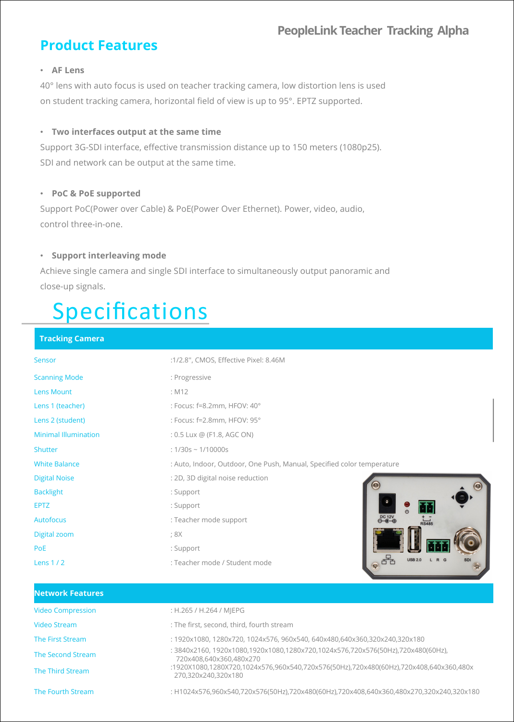### **PeopleLinkTeacher Tracking Alpha**

## **Product Features**

#### • **AF Lens**

40° lens with auto focus is used on teacher tracking camera, low distortion lens is used on student tracking camera, horizontal field of view is up to 95°. EPTZ supported.

#### • **Two interfaces output at the same time**

Support 3G-SDI interface, effective transmission distance up to 150 meters (1080p25). SDI and network can be output at the same time.

#### • **PoC & PoE supported**

Support PoC(Power over Cable) & PoE(Power Over Ethernet). Power, video, audio, control three-in-one.

#### • **Support interleaving mode**

Achieve single camera and single SDI interface to simultaneously output panoramic and close-up signals.

# Specifications

#### **Tracking Camera**

| Sensor                      | :1/2.8", CMOS, Effective Pixel: 8.46M                                  |
|-----------------------------|------------------------------------------------------------------------|
| <b>Scanning Mode</b>        | : Progressive                                                          |
| Lens Mount                  | : M12                                                                  |
| Lens 1 (teacher)            | : Focus: f=8.2mm, HFOV: 40°                                            |
| Lens 2 (student)            | : Focus: f=2.8mm, HFOV: 95°                                            |
| <b>Minimal Illumination</b> | : 0.5 Lux @ (F1.8, AGC ON)                                             |
| Shutter                     | : $1/30s \sim 1/10000s$                                                |
| <b>White Balance</b>        | : Auto, Indoor, Outdoor, One Push, Manual, Specified color temperature |
| <b>Digital Noise</b>        | : 2D, 3D digital noise reduction                                       |
| <b>Backlight</b>            | : Support                                                              |
| <b>EPTZ</b>                 | : Support                                                              |
| <b>Autofocus</b>            | OC 12V<br>: Teacher mode support<br>$R\overrightarrow{8485}$           |
| Digital zoom                | ; 8X                                                                   |
| PoE                         | : Support                                                              |
| Lens $1/2$                  | <b>USB 2.0</b><br>: Teacher mode / Student mode                        |

| <b>Network Features</b>  |                                                                                                              |  |
|--------------------------|--------------------------------------------------------------------------------------------------------------|--|
| <b>Video Compression</b> | : H.265 / H.264 / MIEPG                                                                                      |  |
| <b>Video Stream</b>      | : The first, second, third, fourth stream                                                                    |  |
| The First Stream         | : 1920x1080, 1280x720, 1024x576, 960x540, 640x480,640x360,320x240,320x180                                    |  |
| The Second Stream        | : 3840x2160, 1920x1080,1920x1080,1280x720,1024x576,720x576(50Hz),720x480(60Hz),<br>720x408.640x360.480x270   |  |
| The Third Stream         | :1920X1080,1280X720,1024x576,960x540,720x576(50Hz),720x480(60Hz),720x408,640x360,480x<br>270.320x240.320x180 |  |
| The Fourth Stream        | : H1024x576,960x540,720x576(50Hz),720x480(60Hz),720x408,640x360,480x270,320x240,320x180                      |  |
|                          |                                                                                                              |  |